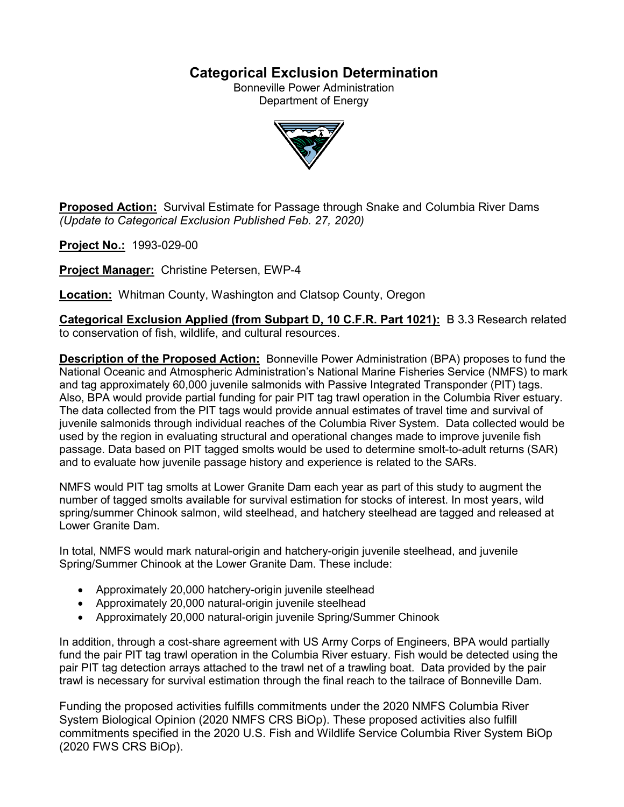# **Categorical Exclusion Determination**

Bonneville Power Administration Department of Energy



**Proposed Action:** Survival Estimate for Passage through Snake and Columbia River Dams *(Update to Categorical Exclusion Published Feb. 27, 2020)*

**Project No.:** 1993-029-00

**Project Manager:** Christine Petersen, EWP-4

**Location:** Whitman County, Washington and Clatsop County, Oregon

**Categorical Exclusion Applied (from Subpart D, 10 C.F.R. Part 1021):** B 3.3 Research related to conservation of fish, wildlife, and cultural resources.

**Description of the Proposed Action:** Bonneville Power Administration (BPA) proposes to fund the National Oceanic and Atmospheric Administration's National Marine Fisheries Service (NMFS) to mark and tag approximately 60,000 juvenile salmonids with Passive Integrated Transponder (PIT) tags. Also, BPA would provide partial funding for pair PIT tag trawl operation in the Columbia River estuary. The data collected from the PIT tags would provide annual estimates of travel time and survival of juvenile salmonids through individual reaches of the Columbia River System. Data collected would be used by the region in evaluating structural and operational changes made to improve juvenile fish passage. Data based on PIT tagged smolts would be used to determine smolt-to-adult returns (SAR) and to evaluate how juvenile passage history and experience is related to the SARs.

NMFS would PIT tag smolts at Lower Granite Dam each year as part of this study to augment the number of tagged smolts available for survival estimation for stocks of interest. In most years, wild spring/summer Chinook salmon, wild steelhead, and hatchery steelhead are tagged and released at Lower Granite Dam.

In total, NMFS would mark natural-origin and hatchery-origin juvenile steelhead, and juvenile Spring/Summer Chinook at the Lower Granite Dam. These include:

- Approximately 20,000 hatchery-origin juvenile steelhead
- Approximately 20,000 natural-origin juvenile steelhead
- Approximately 20,000 natural-origin juvenile Spring/Summer Chinook

In addition, through a cost-share agreement with US Army Corps of Engineers, BPA would partially fund the pair PIT tag trawl operation in the Columbia River estuary. Fish would be detected using the pair PIT tag detection arrays attached to the trawl net of a trawling boat. Data provided by the pair trawl is necessary for survival estimation through the final reach to the tailrace of Bonneville Dam.

Funding the proposed activities fulfills commitments under the 2020 NMFS Columbia River System Biological Opinion (2020 NMFS CRS BiOp). These proposed activities also fulfill commitments specified in the 2020 U.S. Fish and Wildlife Service Columbia River System BiOp (2020 FWS CRS BiOp).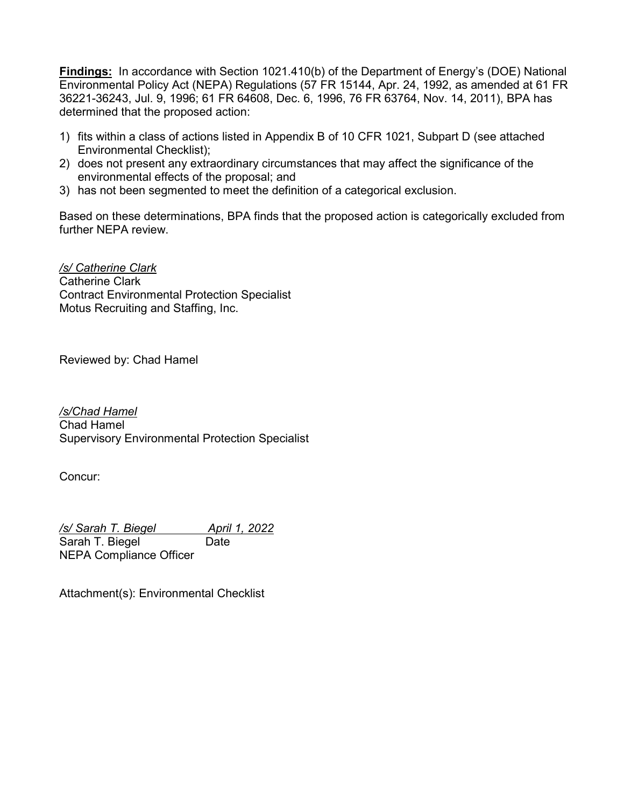**Findings:** In accordance with Section 1021.410(b) of the Department of Energy's (DOE) National Environmental Policy Act (NEPA) Regulations (57 FR 15144, Apr. 24, 1992, as amended at 61 FR 36221-36243, Jul. 9, 1996; 61 FR 64608, Dec. 6, 1996, 76 FR 63764, Nov. 14, 2011), BPA has determined that the proposed action:

- 1) fits within a class of actions listed in Appendix B of 10 CFR 1021, Subpart D (see attached Environmental Checklist);
- 2) does not present any extraordinary circumstances that may affect the significance of the environmental effects of the proposal; and
- 3) has not been segmented to meet the definition of a categorical exclusion.

Based on these determinations, BPA finds that the proposed action is categorically excluded from further NEPA review.

*/s/ Catherine Clark* Catherine Clark Contract Environmental Protection Specialist Motus Recruiting and Staffing, Inc.

Reviewed by: Chad Hamel

*/s/Chad Hamel* Chad Hamel Supervisory Environmental Protection Specialist

Concur:

*/s/ Sarah T. Biegel April 1, 2022* Sarah T. Biegel Date NEPA Compliance Officer

Attachment(s): Environmental Checklist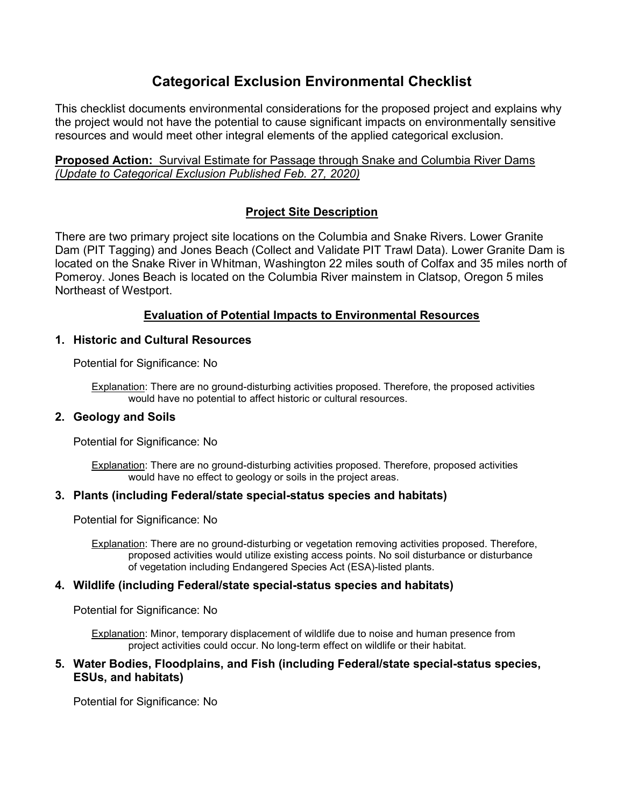# **Categorical Exclusion Environmental Checklist**

This checklist documents environmental considerations for the proposed project and explains why the project would not have the potential to cause significant impacts on environmentally sensitive resources and would meet other integral elements of the applied categorical exclusion.

**Proposed Action:** Survival Estimate for Passage through Snake and Columbia River Dams *(Update to Categorical Exclusion Published Feb. 27, 2020)*

# **Project Site Description**

There are two primary project site locations on the Columbia and Snake Rivers. Lower Granite Dam (PIT Tagging) and Jones Beach (Collect and Validate PIT Trawl Data). Lower Granite Dam is located on the Snake River in Whitman, Washington 22 miles south of Colfax and 35 miles north of Pomeroy. Jones Beach is located on the Columbia River mainstem in Clatsop, Oregon 5 miles Northeast of Westport.

# **Evaluation of Potential Impacts to Environmental Resources**

## **1. Historic and Cultural Resources**

Potential for Significance: No

Explanation: There are no ground-disturbing activities proposed. Therefore, the proposed activities would have no potential to affect historic or cultural resources.

## **2. Geology and Soils**

Potential for Significance: No

Explanation: There are no ground-disturbing activities proposed. Therefore, proposed activities would have no effect to geology or soils in the project areas.

# **3. Plants (including Federal/state special-status species and habitats)**

Potential for Significance: No

Explanation: There are no ground-disturbing or vegetation removing activities proposed. Therefore, proposed activities would utilize existing access points. No soil disturbance or disturbance of vegetation including Endangered Species Act (ESA)-listed plants.

# **4. Wildlife (including Federal/state special-status species and habitats)**

Potential for Significance: No

Explanation: Minor, temporary displacement of wildlife due to noise and human presence from project activities could occur. No long-term effect on wildlife or their habitat.

### **5. Water Bodies, Floodplains, and Fish (including Federal/state special-status species, ESUs, and habitats)**

Potential for Significance: No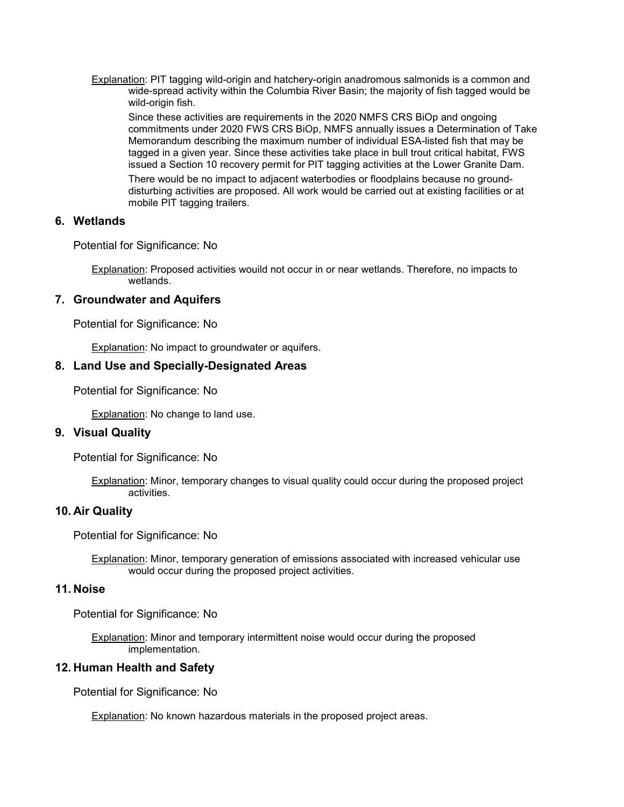Explanation: PIT tagging wild-origin and hatchery-origin anadromous salmonids is a common and wide-spread activity within the Columbia River Basin; the majority of fish tagged would be wild-origin fish.

Since these activities are requirements in the 2020 NMFS CRS BiOp and ongoing commitments under 2020 FWS CRS BiOp, NMFS annually issues a Determination of Take Memorandum describing the maximum number of individual ESA-listed fish that may be tagged in a given year. Since these activities take place in bull trout critical habitat, FWS issued a Section 10 recovery permit for PIT tagging activities at the Lower Granite Dam.

There would be no impact to adjacent waterbodies or floodplains because no grounddisturbing activities are proposed. All work would be carried out at existing facilities or at mobile PIT tagging trailers.

#### **6. Wetlands**

Potential for Significance: No

Explanation: Proposed activities wouild not occur in or near wetlands. Therefore, no impacts to wetlands.

#### **7. Groundwater and Aquifers**

Potential for Significance: No

Explanation: No impact to groundwater or aquifers.

#### **8. Land Use and Specially-Designated Areas**

Potential for Significance: No

Explanation: No change to land use.

#### **9. Visual Quality**

Potential for Significance: No

Explanation: Minor, temporary changes to visual quality could occur during the proposed project activities.

#### **10. Air Quality**

Potential for Significance: No

Explanation: Minor, temporary generation of emissions associated with increased vehicular use would occur during the proposed project activities.

#### **11. Noise**

Potential for Significance: No

Explanation: Minor and temporary intermittent noise would occur during the proposed implementation.

#### **12. Human Health and Safety**

Potential for Significance: No

Explanation: No known hazardous materials in the proposed project areas.